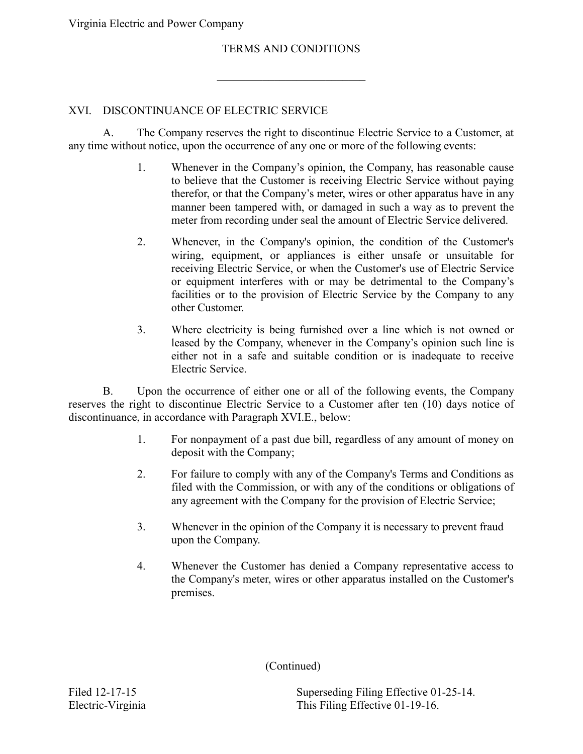Virginia Electric and Power Company

## TERMS AND CONDITIONS

 $\overline{\phantom{a}}$  , which is a set of the set of the set of the set of the set of the set of the set of the set of the set of the set of the set of the set of the set of the set of the set of the set of the set of the set of th

## XVI. DISCONTINUANCE OF ELECTRIC SERVICE

 $\mathsf{A}$ The Company reserves the right to discontinue Electric Service to a Customer, at any time without notice, upon the occurrence of any one or more of the following events:

- to believe that the Customer is receiving Electric Service without paying manner been tampered with, or damaged in such a way as to prevent the 1. Whenever in the Company's opinion, the Company, has reasonable cause therefor, or that the Company's meter, wires or other apparatus have in any meter from recording under seal the amount of Electric Service delivered.
- wiring, equipment, or appliances is either unsafe or unsuitable for receiving Electric Service, or when the Customer's use of Electric Service or equipment interferes with or may be detrimental to the Company's facilities or to the provision of Electric Service by the Company to any 2. Whenever, in the Company's opinion, the condition of the Customer's other Customer.
- $3<sub>1</sub>$  leased by the Company, whenever in the Company's opinion such line is either not in a safe and suitable condition or is inadequate to receive Where electricity is being furnished over a line which is not owned or Electric Service.

 B. Upon the occurrence of either one or all of the following events, the Company reserves the right to discontinue Electric Service to a Customer after ten (10) days notice of discontinuance, in accordance with Paragraph XVI.E., below:

- $1<sup>1</sup>$ For nonpayment of a past due bill, regardless of any amount of money on deposit with the Company;
- 2. For failure to comply with any of the Company's Terms and Conditions as filed with the Commission, or with any of the conditions or obligations of any agreement with the Company for the provision of Electric Service;
- 3. Whenever in the opinion of the Company it is necessary to prevent fraud upon the Company.
- 4. Whenever the Customer has denied a Company representative access to the Company's meter, wires or other apparatus installed on the Customer's premises.

(Continued)

Filed 12-17-15 Superseding Filing Effective 01-25-14. Electric-Virginia This Filing Effective 01-19-16.